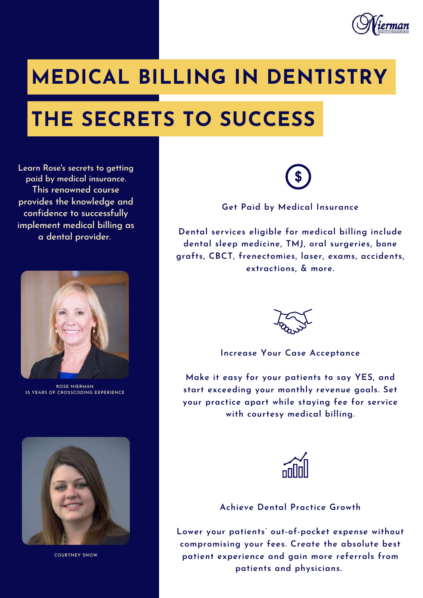

# **MEDICAL BILLING IN DENTISTRY**

# **THE SECRETS TO SUCCESS**

**Learn Rose's secrets to getting paid by medical insurance. This renowned course provides the knowledge and confidence to successfully implement medical billing as a dental provider.**



**ROSE NIERMAN 35 YEARS OF CROSSCODING EXPERIENCE**



**COURTNEY SNOW**

**Get Paid by Medical Insurance**

**Dental services eligible for medical billing include dental sleep medicine, TMJ, oral surgeries, bone grafts, CBCT, frenectomies, laser, exams, accidents, extractions, & more.**



#### **Increase Your Case Acceptance**

**Make it easy for your patients to say YES, and start exceeding your monthly revenue goals. Set your practice apart while staying fee for service with courtesy medical billing.**



#### **Achieve Dental Practice Growth**

**Lower your patients' out-of-pocket expense without compromising your fees. Create the absolute best patient experience and gain more referrals from patients and physicians.**